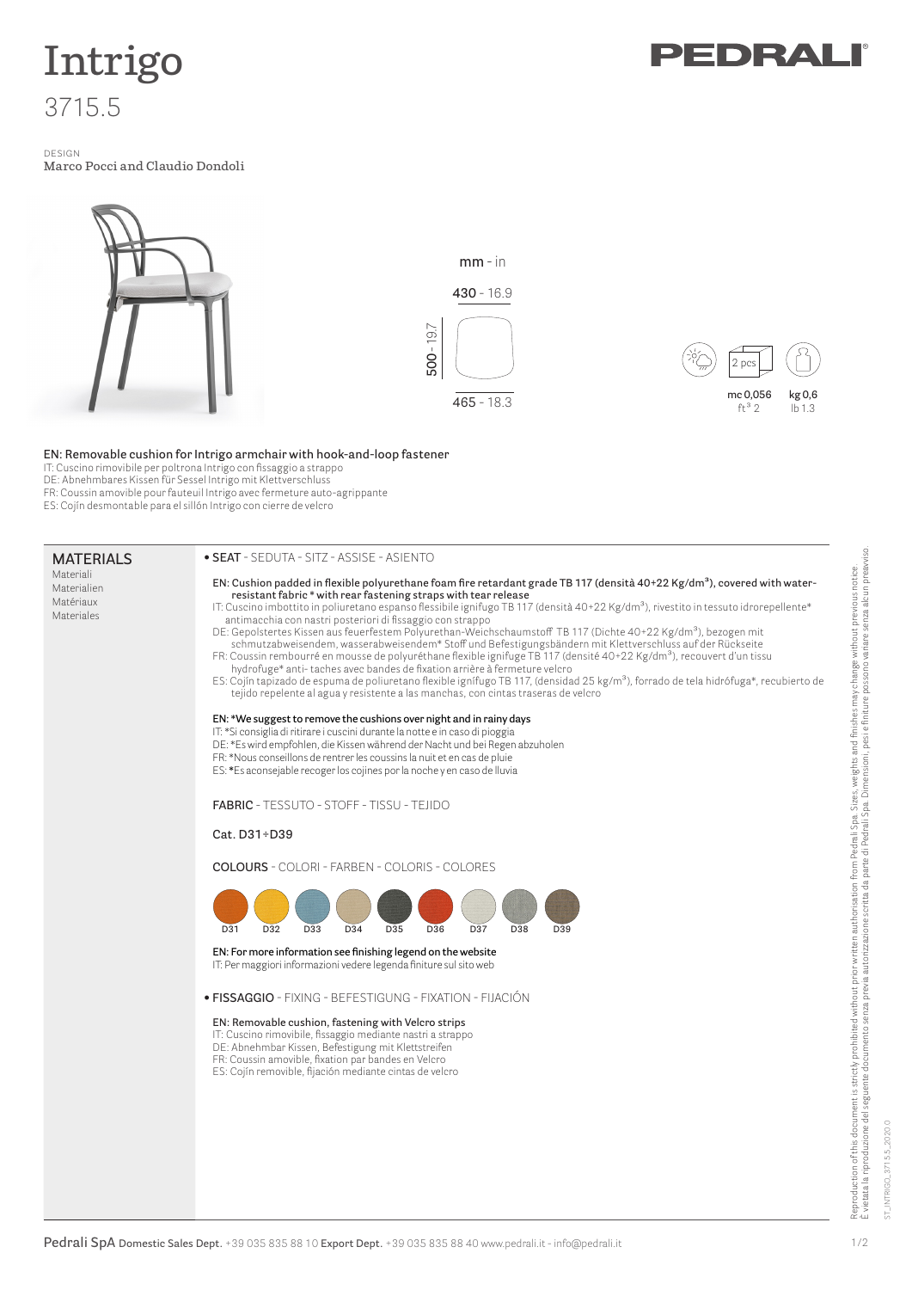

# **Intrigo** 3715.5

design **Marco Pocci and Claudio Dondoli**



### **EN: Removable cushion for Intrigo armchair with hook-and-loop fastener**

IT: Cuscino rimovibile per poltrona Intrigo con fissaggio a strappo

DE: Abnehmbares Kissen für Sessel Intrigo mit Klettverschluss

- FR: Coussin amovible pour fauteuil Intrigo avec fermeture auto-agrippante
- ES: Cojín desmontable para el sillón Intrigo con cierre de velcro

#### **Materials**

Materiali Materialien Matériaux Materiales

#### **• seat** - seduta - Sitz - assise - asiento



Reproduction of this document is strictly prohibited without prior written authorisation from Pedrali Spa. Sizes, weights and finishes may change without previous notice.<br>È vietata la riproduzione del seguente documento se È vietata la riproduzione del seguente documento senza previa autorizzazione scritta da parte di Pedrali Spa. Dimensioni, pesi e finiture possono variare senza alcun preavviso. Reproduction of this document is strictly prohibited without prior written authorisation from Pedrali Spa. Sizes, weights and finishes may change without previous notice. 1/2

ST\_INTRIGO\_3715.5\_2020.0

NTRIGO\_3715.5\_2020.0